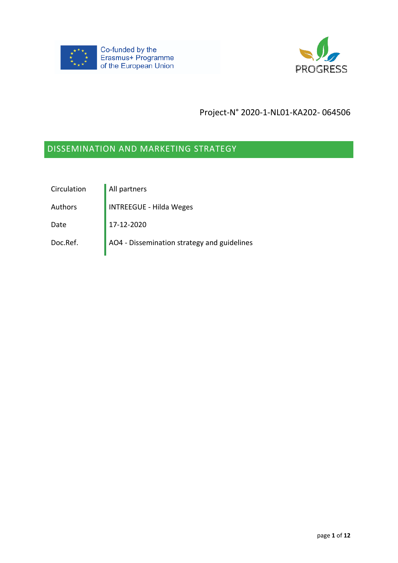



## Project-N° 2020-1-NL01-KA202- 064506

# DISSEMINATION AND MARKETING STRATEGY

| Circulation | All partners                                |
|-------------|---------------------------------------------|
| Authors     | <b>INTREEGUE - Hilda Weges</b>              |
| Date        | 17-12-2020                                  |
| Doc.Ref.    | AO4 - Dissemination strategy and guidelines |
|             |                                             |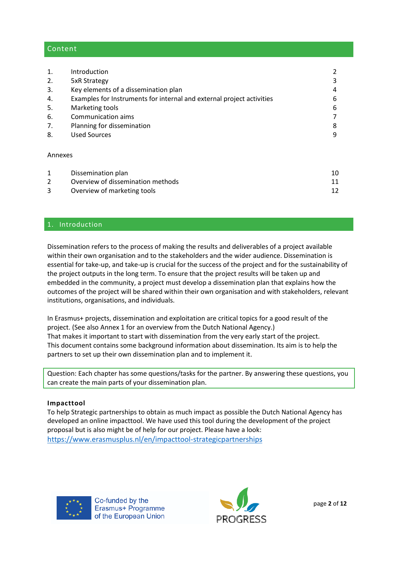## Content

| 1.      | Introduction                                                          | 2  |  |  |
|---------|-----------------------------------------------------------------------|----|--|--|
| 2.      | 5xR Strategy                                                          |    |  |  |
| 3.      | Key elements of a dissemination plan                                  |    |  |  |
| 4.      | Examples for Instruments for internal and external project activities |    |  |  |
| 5.      | Marketing tools                                                       |    |  |  |
| 6.      | Communication aims                                                    |    |  |  |
| 7.      | Planning for dissemination                                            |    |  |  |
| 8.      | <b>Used Sources</b>                                                   | 9  |  |  |
| Annexes |                                                                       |    |  |  |
| 1       | Dissemination plan                                                    | 10 |  |  |
| 2       | Overview of dissemination methods                                     | 11 |  |  |
| 3       | Overview of marketing tools                                           | 12 |  |  |

## 1. Introduction

Dissemination refers to the process of making the results and deliverables of a project available within their own organisation and to the stakeholders and the wider audience. Dissemination is essential for take-up, and take-up is crucial for the success of the project and for the sustainability of the project outputs in the long term. To ensure that the project results will be taken up and embedded in the community, a project must develop a dissemination plan that explains how the outcomes of the project will be shared within their own organisation and with stakeholders, relevant institutions, organisations, and individuals.

In Erasmus+ projects, dissemination and exploitation are critical topics for a good result of the project. (See also Annex 1 for an overview from the Dutch National Agency.) That makes it important to start with dissemination from the very early start of the project. This document contains some background information about dissemination. Its aim is to help the partners to set up their own dissemination plan and to implement it.

Question: Each chapter has some questions/tasks for the partner. By answering these questions, you can create the main parts of your dissemination plan.

#### **Impacttool**

To help Strategic partnerships to obtain as much impact as possible the Dutch National Agency has developed an online impacttool. We have used this tool during the development of the project proposal but is also might be of help for our project. Please have a look:

<https://www.erasmusplus.nl/en/impacttool-strategicpartnerships>



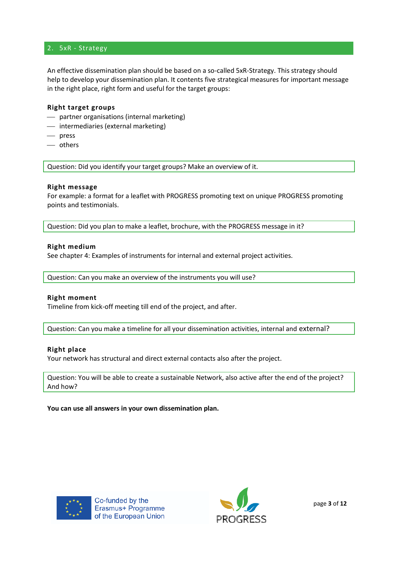## 2. 5xR - Strategy

An effective dissemination plan should be based on a so-called 5xR-Strategy. This strategy should help to develop your dissemination plan. It contents five strategical measures for important message in the right place, right form and useful for the target groups:

#### **Right target groups**

- ⎯ partner organisations (internal marketing)
- ⎯ intermediaries (external marketing)
- ⎯ press
- others

Question: Did you identify your target groups? Make an overview of it.

#### **Right message**

For example: a format for a leaflet with PROGRESS promoting text on unique PROGRESS promoting points and testimonials.

Question: Did you plan to make a leaflet, brochure, with the PROGRESS message in it?

#### **Right medium**

See chapter 4: Examples of instruments for internal and external project activities.

Question: Can you make an overview of the instruments you will use?

#### **Right moment**

Timeline from kick-off meeting till end of the project, and after.

Question: Can you make a timeline for all your dissemination activities, internal and external?

#### **Right place**

Your network has structural and direct external contacts also after the project.

Question: You will be able to create a sustainable Network, also active after the end of the project? And how?

**You can use all answers in your own dissemination plan.**



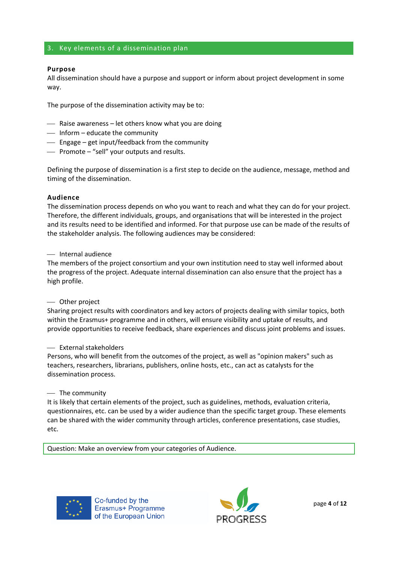#### 3. Key elements of a dissemination plan

#### **Purpose**

All dissemination should have a purpose and support or inform about project development in some way.

The purpose of the dissemination activity may be to:

- $\overline{\phantom{a}}$  Raise awareness let others know what you are doing
- $\overline{\phantom{a}}$  Inform educate the community
- Engage get input/feedback from the community
- ⎯ Promote "sell" your outputs and results.

Defining the purpose of dissemination is a first step to decide on the audience, message, method and timing of the dissemination.

#### **Audience**

The dissemination process depends on who you want to reach and what they can do for your project. Therefore, the different individuals, groups, and organisations that will be interested in the project and its results need to be identified and informed. For that purpose use can be made of the results of the stakeholder analysis. The following audiences may be considered:

#### ⎯ Internal audience

The members of the project consortium and your own institution need to stay well informed about the progress of the project. Adequate internal dissemination can also ensure that the project has a high profile.

#### ⎯ Other project

Sharing project results with coordinators and key actors of projects dealing with similar topics, both within the Erasmus+ programme and in others, will ensure visibility and uptake of results, and provide opportunities to receive feedback, share experiences and discuss joint problems and issues.

#### ⎯ External stakeholders

Persons, who will benefit from the outcomes of the project, as well as "opinion makers" such as teachers, researchers, librarians, publishers, online hosts, etc., can act as catalysts for the dissemination process.

#### $-$  The community

It is likely that certain elements of the project, such as guidelines, methods, evaluation criteria, questionnaires, etc. can be used by a wider audience than the specific target group. These elements can be shared with the wider community through articles, conference presentations, case studies, etc.

Question: Make an overview from your categories of Audience.



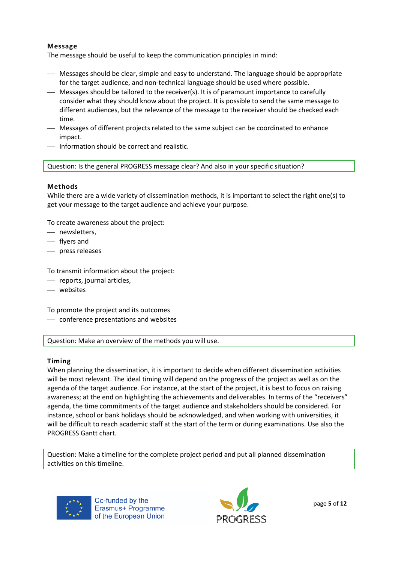## **Message**

The message should be useful to keep the communication principles in mind:

- Messages should be clear, simple and easy to understand. The language should be appropriate for the target audience, and non-technical language should be used where possible.
- ⎯ Messages should be tailored to the receiver(s). It is of paramount importance to carefully consider what they should know about the project. It is possible to send the same message to different audiences, but the relevance of the message to the receiver should be checked each time.
- ⎯ Messages of different projects related to the same subject can be coordinated to enhance impact.
- ⎯ Information should be correct and realistic.

Question: Is the general PROGRESS message clear? And also in your specific situation?

## **Methods**

While there are a wide variety of dissemination methods, it is important to select the right one(s) to get your message to the target audience and achieve your purpose.

To create awareness about the project:

- newsletters.
- ⎯ flyers and
- ⎯ press releases

To transmit information about the project:

- ⎯ reports, journal articles,
- ⎯ websites

To promote the project and its outcomes

⎯ conference presentations and websites

Question: Make an overview of the methods you will use.

#### **Timing**

When planning the dissemination, it is important to decide when different dissemination activities will be most relevant. The ideal timing will depend on the progress of the project as well as on the agenda of the target audience. For instance, at the start of the project, it is best to focus on raising awareness; at the end on highlighting the achievements and deliverables. In terms of the "receivers" agenda, the time commitments of the target audience and stakeholders should be considered. For instance, school or bank holidays should be acknowledged, and when working with universities, it will be difficult to reach academic staff at the start of the term or during examinations. Use also the PROGRESS Gantt chart.

Question: Make a timeline for the complete project period and put all planned dissemination activities on this timeline.



Co-funded by the Erasmus+ Programme of the European Union

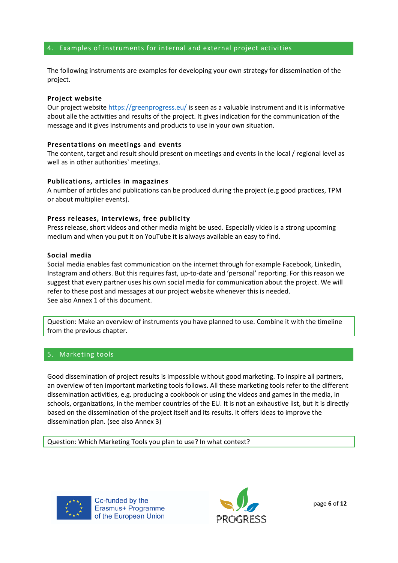#### 4. Examples of instruments for internal and external project activities

The following instruments are examples for developing your own strategy for dissemination of the project.

#### **Project website**

Our project website <https://greenprogress.eu/> is seen as a valuable instrument and it is informative about alle the activities and results of the project. It gives indication for the communication of the message and it gives instruments and products to use in your own situation.

#### **Presentations on meetings and events**

The content, target and result should present on meetings and events in the local / regional level as well as in other authorities` meetings.

#### **Publications, articles in magazines**

A number of articles and publications can be produced during the project (e.g good practices, TPM or about multiplier events).

#### **Press releases, interviews, free publicity**

Press release, short videos and other media might be used. Especially video is a strong upcoming medium and when you put it on YouTube it is always available an easy to find.

#### **Social media**

Social media enables fast communication on the internet through for example Facebook, LinkedIn, Instagram and others. But this requires fast, up-to-date and 'personal' reporting. For this reason we suggest that every partner uses his own social media for communication about the project. We will refer to these post and messages at our project website whenever this is needed. See also Annex 1 of this document.

Question: Make an overview of instruments you have planned to use. Combine it with the timeline from the previous chapter.

#### 5. Marketing tools

Good dissemination of project results is impossible without good marketing. To inspire all partners, an overview of ten important marketing tools follows. All these marketing tools refer to the different dissemination activities, e.g. producing a cookbook or using the videos and games in the media, in schools, organizations, in the member countries of the EU. It is not an exhaustive list, but it is directly based on the dissemination of the project itself and its results. It offers ideas to improve the dissemination plan. (see also Annex 3)

Question: Which Marketing Tools you plan to use? In what context?



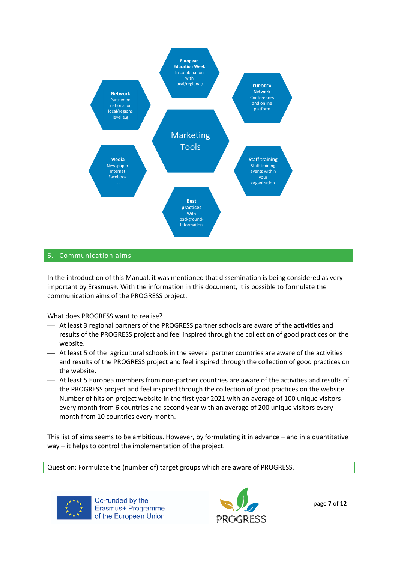

## 6. Communication aims

In the introduction of this Manual, it was mentioned that dissemination is being considered as very important by Erasmus+. With the information in this document, it is possible to formulate the communication aims of the PROGRESS project.

What does PROGRESS want to realise?

- ⎯ At least 3 regional partners of the PROGRESS partner schools are aware of the activities and results of the PROGRESS project and feel inspired through the collection of good practices on the website.
- ⎯ At least 5 of the agricultural schools in the several partner countries are aware of the activities and results of the PROGRESS project and feel inspired through the collection of good practices on the website.
- $-$  At least 5 Europea members from non-partner countries are aware of the activities and results of the PROGRESS project and feel inspired through the collection of good practices on the website.
- ⎯ Number of hits on project website in the first year 2021 with an average of 100 unique visitors every month from 6 countries and second year with an average of 200 unique visitors every month from 10 countries every month.

This list of aims seems to be ambitious. However, by formulating it in advance – and in a quantitative way – it helps to control the implementation of the project.

Question: Formulate the (number of) target groups which are aware of PROGRESS.



Co-funded by the Erasmus+ Programme of the European Union

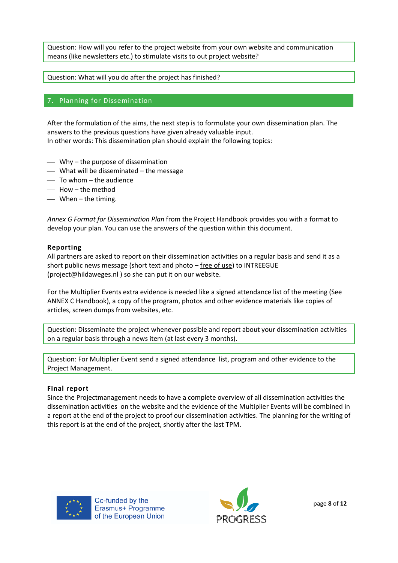Question: How will you refer to the project website from your own website and communication means (like newsletters etc.) to stimulate visits to out project website?

Question: What will you do after the project has finished?

## 7. Planning for Dissemination

After the formulation of the aims, the next step is to formulate your own dissemination plan. The answers to the previous questions have given already valuable input. In other words: This dissemination plan should explain the following topics:

- $\overline{\phantom{a}}$  Why the purpose of dissemination
- ⎯ What will be disseminated the message
- $-$  To whom  $-$  the audience
- $-$  How  $-$  the method
- $\equiv$  When the timing.

*Annex G Format for Dissemination Plan* from the Project Handbook provides you with a format to develop your plan. You can use the answers of the question within this document.

#### **Reporting**

All partners are asked to report on their dissemination activities on a regular basis and send it as a short public news message (short text and photo – free of use) to INTREEGUE (project@hildaweges.nl ) so she can put it on our website.

For the Multiplier Events extra evidence is needed like a signed attendance list of the meeting (See ANNEX C Handbook), a copy of the program, photos and other evidence materials like copies of articles, screen dumps from websites, etc.

Question: Disseminate the project whenever possible and report about your dissemination activities on a regular basis through a news item (at last every 3 months).

Question: For Multiplier Event send a signed attendance list, program and other evidence to the Project Management.

## **Final report**

Since the Projectmanagement needs to have a complete overview of all dissemination activities the dissemination activities on the website and the evidence of the Multiplier Events will be combined in a report at the end of the project to proof our dissemination activities. The planning for the writing of this report is at the end of the project, shortly after the last TPM.



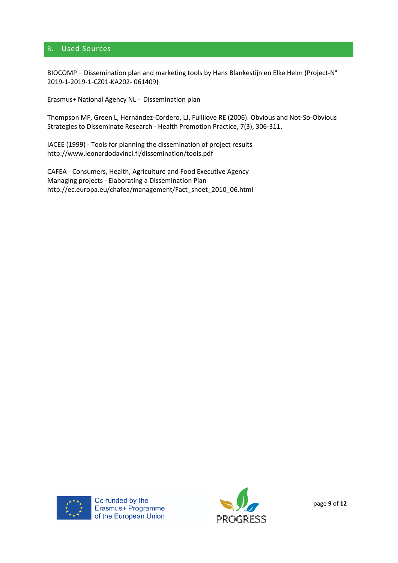## 8. Used Sources

BIOCOMP – Dissemination plan and marketing tools by Hans Blankestijn en Elke Helm (Project-N° 2019-1-2019-1-CZ01-KA202- 061409)

Erasmus+ National Agency NL - Dissemination plan

Thompson MF, Green L, Hernández-Cordero, LJ, Fullilove RE (2006). Obvious and Not-So-Obvious Strategies to Disseminate Research - Health Promotion Practice, 7(3), 306-311.

IACEE (1999) - Tools for planning the dissemination of project results http://www.leonardodavinci.fi/dissemination/tools.pdf

CAFEA - Consumers, Health, Agriculture and Food Executive Agency Managing projects - Elaborating a Dissemination Plan http://ec.europa.eu/chafea/management/Fact\_sheet\_2010\_06.html



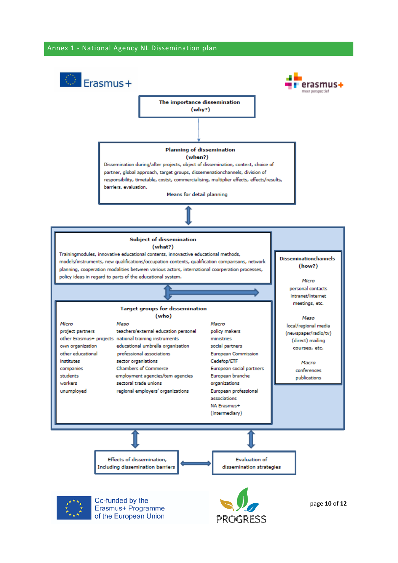#### Annex 1 - National Agency NL Dissemination plan

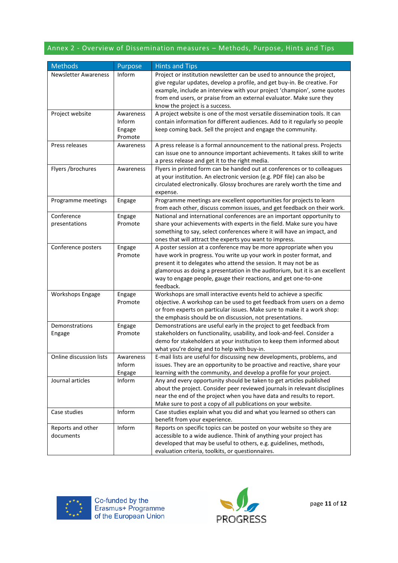# Annex 2 - Overview of Dissemination measures – Methods, Purpose, Hints and Tips

| <b>Methods</b>              | Purpose   | <b>Hints and Tips</b>                                                       |
|-----------------------------|-----------|-----------------------------------------------------------------------------|
| <b>Newsletter Awareness</b> | Inform    | Project or institution newsletter can be used to announce the project,      |
|                             |           | give regular updates, develop a profile, and get buy-in. Be creative. For   |
|                             |           | example, include an interview with your project 'champion', some quotes     |
|                             |           | from end users, or praise from an external evaluator. Make sure they        |
|                             |           | know the project is a success.                                              |
| Project website             | Awareness | A project website is one of the most versatile dissemination tools. It can  |
|                             | Inform    | contain information for different audiences. Add to it regularly so people  |
|                             | Engage    | keep coming back. Sell the project and engage the community.                |
|                             | Promote   |                                                                             |
| Press releases              | Awareness | A press release is a formal announcement to the national press. Projects    |
|                             |           | can issue one to announce important achievements. It takes skill to write   |
|                             |           | a press release and get it to the right media.                              |
| Flyers /brochures           | Awareness | Flyers in printed form can be handed out at conferences or to colleagues    |
|                             |           | at your institution. An electronic version (e.g. PDF file) can also be      |
|                             |           | circulated electronically. Glossy brochures are rarely worth the time and   |
|                             |           | expense.                                                                    |
| Programme meetings          | Engage    | Programme meetings are excellent opportunities for projects to learn        |
|                             |           | from each other, discuss common issues, and get feedback on their work.     |
| Conference                  | Engage    | National and international conferences are an important opportunity to      |
| presentations               | Promote   | share your achievements with experts in the field. Make sure you have       |
|                             |           | something to say, select conferences where it will have an impact, and      |
|                             |           | ones that will attract the experts you want to impress.                     |
| Conference posters          | Engage    | A poster session at a conference may be more appropriate when you           |
|                             | Promote   | have work in progress. You write up your work in poster format, and         |
|                             |           | present it to delegates who attend the session. It may not be as            |
|                             |           | glamorous as doing a presentation in the auditorium, but it is an excellent |
|                             |           | way to engage people, gauge their reactions, and get one-to-one             |
|                             |           | feedback.                                                                   |
| Workshops Engage            | Engage    | Workshops are small interactive events held to achieve a specific           |
|                             | Promote   | objective. A workshop can be used to get feedback from users on a demo      |
|                             |           | or from experts on particular issues. Make sure to make it a work shop:     |
|                             |           | the emphasis should be on discussion, not presentations.                    |
| Demonstrations              | Engage    | Demonstrations are useful early in the project to get feedback from         |
| Engage                      | Promote   | stakeholders on functionality, usability, and look-and-feel. Consider a     |
|                             |           | demo for stakeholders at your institution to keep them informed about       |
|                             |           | what you're doing and to help with buy-in.                                  |
| Online discussion lists     | Awareness | E-mail lists are useful for discussing new developments, problems, and      |
|                             | Inform    | issues. They are an opportunity to be proactive and reactive, share your    |
|                             | Engage    | learning with the community, and develop a profile for your project.        |
| Journal articles            | Inform    | Any and every opportunity should be taken to get articles published         |
|                             |           | about the project. Consider peer reviewed journals in relevant disciplines  |
|                             |           | near the end of the project when you have data and results to report.       |
|                             |           | Make sure to post a copy of all publications on your website.               |
| Case studies                | Inform    | Case studies explain what you did and what you learned so others can        |
|                             |           | benefit from your experience.                                               |
| Reports and other           | Inform    | Reports on specific topics can be posted on your website so they are        |
| documents                   |           | accessible to a wide audience. Think of anything your project has           |
|                             |           | developed that may be useful to others, e.g. guidelines, methods,           |
|                             |           | evaluation criteria, toolkits, or questionnaires.                           |